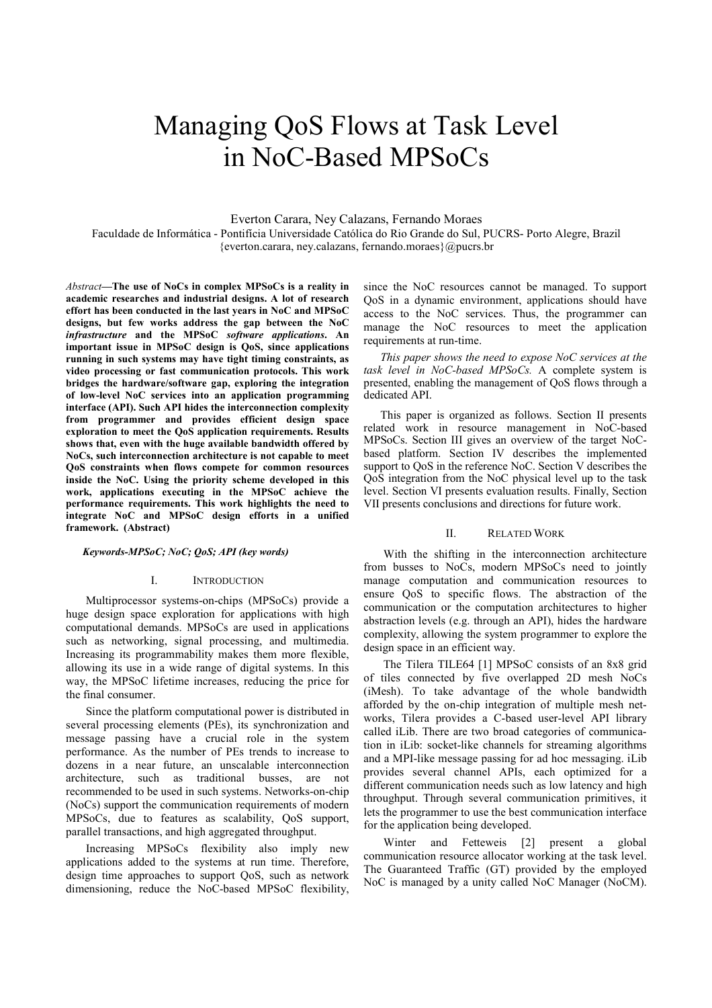# Managing QoS Flows at Task Level in NoC-Based MPSoCs

Everton Carara, Ney Calazans, Fernando Moraes

Faculdade de Informática - Pontifícia Universidade Católica do Rio Grande do Sul, PUCRS- Porto Alegre, Brazil {everton.carara, ney.calazans, fernando.moraes}@pucrs.br

Abstract—The use of NoCs in complex MPSoCs is a reality in academic researches and industrial designs. A lot of research effort has been conducted in the last years in NoC and MPSoC designs, but few works address the gap between the NoC infrastructure and the MPSoC software applications. An important issue in MPSoC design is QoS, since applications running in such systems may have tight timing constraints, as video processing or fast communication protocols. This work bridges the hardware/software gap, exploring the integration of low-level NoC services into an application programming interface (API). Such API hides the interconnection complexity from programmer and provides efficient design space exploration to meet the QoS application requirements. Results shows that, even with the huge available bandwidth offered by NoCs, such interconnection architecture is not capable to meet QoS constraints when flows compete for common resources inside the NoC. Using the priority scheme developed in this work, applications executing in the MPSoC achieve the performance requirements. This work highlights the need to integrate NoC and MPSoC design efforts in a unified framework. (Abstract)

### Keywords-MPSoC; NoC; QoS; API (key words)

### I. INTRODUCTION

Multiprocessor systems-on-chips (MPSoCs) provide a huge design space exploration for applications with high computational demands. MPSoCs are used in applications such as networking, signal processing, and multimedia. Increasing its programmability makes them more flexible, allowing its use in a wide range of digital systems. In this way, the MPSoC lifetime increases, reducing the price for the final consumer.

Since the platform computational power is distributed in several processing elements (PEs), its synchronization and message passing have a crucial role in the system performance. As the number of PEs trends to increase to dozens in a near future, an unscalable interconnection architecture, such as traditional busses, are not recommended to be used in such systems. Networks-on-chip (NoCs) support the communication requirements of modern MPSoCs, due to features as scalability, QoS support, parallel transactions, and high aggregated throughput.

Increasing MPSoCs flexibility also imply new applications added to the systems at run time. Therefore, design time approaches to support QoS, such as network dimensioning, reduce the NoC-based MPSoC flexibility, since the NoC resources cannot be managed. To support QoS in a dynamic environment, applications should have access to the NoC services. Thus, the programmer can manage the NoC resources to meet the application requirements at run-time.

This paper shows the need to expose NoC services at the task level in NoC-based MPSoCs. A complete system is presented, enabling the management of QoS flows through a dedicated API.

This paper is organized as follows. Section II presents related work in resource management in NoC-based MPSoCs. Section III gives an overview of the target NoCbased platform. Section IV describes the implemented support to QoS in the reference NoC. Section V describes the QoS integration from the NoC physical level up to the task level. Section VI presents evaluation results. Finally, Section VII presents conclusions and directions for future work.

### II. RELATED WORK

With the shifting in the interconnection architecture from busses to NoCs, modern MPSoCs need to jointly manage computation and communication resources to ensure QoS to specific flows. The abstraction of the communication or the computation architectures to higher abstraction levels (e.g. through an API), hides the hardware complexity, allowing the system programmer to explore the design space in an efficient way.

The Tilera TILE64 [1] MPSoC consists of an 8x8 grid of tiles connected by five overlapped 2D mesh NoCs (iMesh). To take advantage of the whole bandwidth afforded by the on-chip integration of multiple mesh networks, Tilera provides a C-based user-level API library called iLib. There are two broad categories of communication in iLib: socket-like channels for streaming algorithms and a MPI-like message passing for ad hoc messaging. iLib provides several channel APIs, each optimized for a different communication needs such as low latency and high throughput. Through several communication primitives, it lets the programmer to use the best communication interface for the application being developed.

Winter and Fetteweis [2] present a global communication resource allocator working at the task level. The Guaranteed Traffic (GT) provided by the employed NoC is managed by a unity called NoC Manager (NoCM).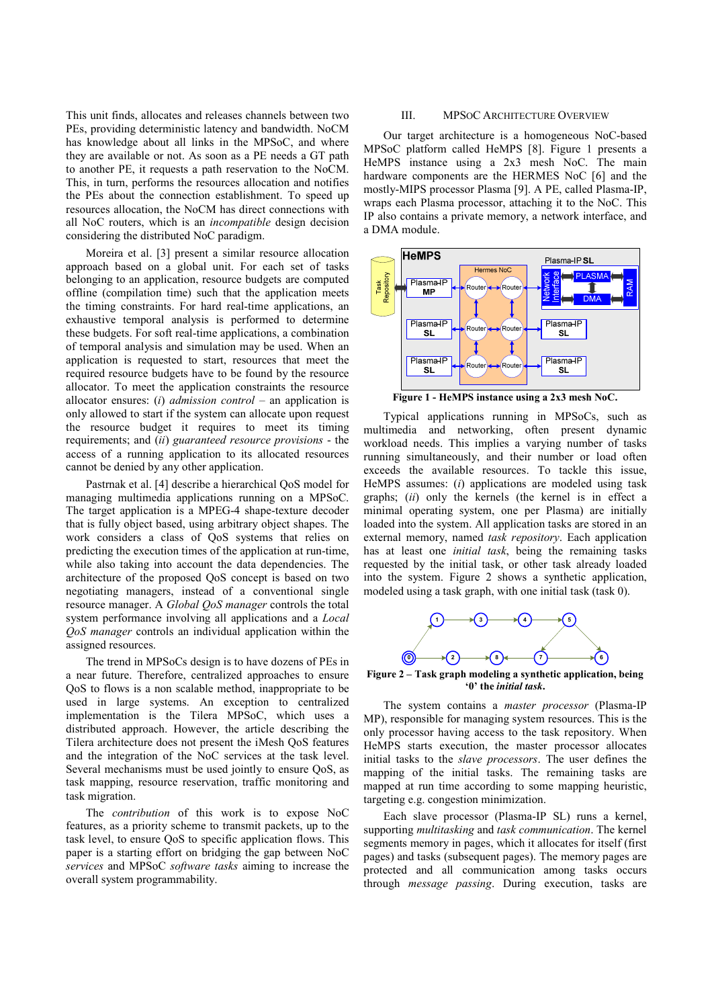This unit finds, allocates and releases channels between two PEs, providing deterministic latency and bandwidth. NoCM has knowledge about all links in the MPSoC, and where they are available or not. As soon as a PE needs a GT path to another PE, it requests a path reservation to the NoCM. This, in turn, performs the resources allocation and notifies the PEs about the connection establishment. To speed up resources allocation, the NoCM has direct connections with all NoC routers, which is an incompatible design decision considering the distributed NoC paradigm.

Moreira et al. [3] present a similar resource allocation approach based on a global unit. For each set of tasks belonging to an application, resource budgets are computed offline (compilation time) such that the application meets the timing constraints. For hard real-time applications, an exhaustive temporal analysis is performed to determine these budgets. For soft real-time applications, a combination of temporal analysis and simulation may be used. When an application is requested to start, resources that meet the required resource budgets have to be found by the resource allocator. To meet the application constraints the resource allocator ensures: (i) *admission control* – an application is only allowed to start if the system can allocate upon request the resource budget it requires to meet its timing requirements; and (ii) guaranteed resource provisions - the access of a running application to its allocated resources cannot be denied by any other application.

Pastrnak et al. [4] describe a hierarchical QoS model for managing multimedia applications running on a MPSoC. The target application is a MPEG-4 shape-texture decoder that is fully object based, using arbitrary object shapes. The work considers a class of QoS systems that relies on predicting the execution times of the application at run-time, while also taking into account the data dependencies. The architecture of the proposed QoS concept is based on two negotiating managers, instead of a conventional single resource manager. A Global QoS manager controls the total system performance involving all applications and a Local QoS manager controls an individual application within the assigned resources.

The trend in MPSoCs design is to have dozens of PEs in a near future. Therefore, centralized approaches to ensure QoS to flows is a non scalable method, inappropriate to be used in large systems. An exception to centralized implementation is the Tilera MPSoC, which uses a distributed approach. However, the article describing the Tilera architecture does not present the iMesh QoS features and the integration of the NoC services at the task level. Several mechanisms must be used jointly to ensure QoS, as task mapping, resource reservation, traffic monitoring and task migration.

The contribution of this work is to expose NoC features, as a priority scheme to transmit packets, up to the task level, to ensure QoS to specific application flows. This paper is a starting effort on bridging the gap between NoC services and MPSoC software tasks aiming to increase the overall system programmability.

## III. MPSOC ARCHITECTURE OVERVIEW

Our target architecture is a homogeneous NoC-based MPSoC platform called HeMPS [8]. Figure 1 presents a HeMPS instance using a 2x3 mesh NoC. The main hardware components are the HERMES NoC [6] and the mostly-MIPS processor Plasma [9]. A PE, called Plasma-IP, wraps each Plasma processor, attaching it to the NoC. This IP also contains a private memory, a network interface, and a DMA module.



Figure 1 - HeMPS instance using a 2x3 mesh NoC.

Typical applications running in MPSoCs, such as multimedia and networking, often present dynamic workload needs. This implies a varying number of tasks running simultaneously, and their number or load often exceeds the available resources. To tackle this issue, HeMPS assumes: (*i*) applications are modeled using task graphs; *(ii)* only the kernels *(the kernel is in effect a* minimal operating system, one per Plasma) are initially loaded into the system. All application tasks are stored in an external memory, named task repository. Each application has at least one *initial task*, being the remaining tasks requested by the initial task, or other task already loaded into the system. Figure 2 shows a synthetic application, modeled using a task graph, with one initial task (task 0).



Figure 2 – Task graph modeling a synthetic application, being '0' the initial task.

The system contains a *master processor* (Plasma-IP MP), responsible for managing system resources. This is the only processor having access to the task repository. When HeMPS starts execution, the master processor allocates initial tasks to the slave processors. The user defines the mapping of the initial tasks. The remaining tasks are mapped at run time according to some mapping heuristic, targeting e.g. congestion minimization.

Each slave processor (Plasma-IP SL) runs a kernel, supporting multitasking and task communication. The kernel segments memory in pages, which it allocates for itself (first pages) and tasks (subsequent pages). The memory pages are protected and all communication among tasks occurs through message passing. During execution, tasks are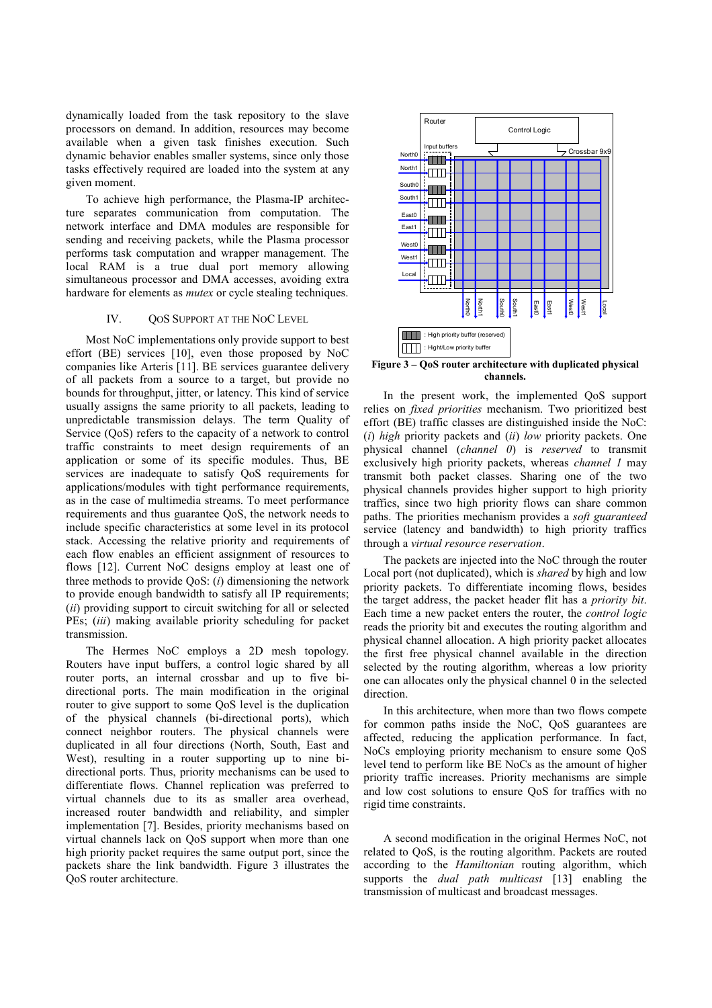dynamically loaded from the task repository to the slave processors on demand. In addition, resources may become available when a given task finishes execution. Such dynamic behavior enables smaller systems, since only those tasks effectively required are loaded into the system at any given moment.

To achieve high performance, the Plasma-IP architecture separates communication from computation. The network interface and DMA modules are responsible for sending and receiving packets, while the Plasma processor performs task computation and wrapper management. The local RAM is a true dual port memory allowing simultaneous processor and DMA accesses, avoiding extra hardware for elements as *mutex* or cycle stealing techniques.

### IV. QOS SUPPORT AT THE NOC LEVEL

Most NoC implementations only provide support to best effort (BE) services [10], even those proposed by NoC companies like Arteris [11]. BE services guarantee delivery of all packets from a source to a target, but provide no bounds for throughput, jitter, or latency. This kind of service usually assigns the same priority to all packets, leading to unpredictable transmission delays. The term Quality of Service (QoS) refers to the capacity of a network to control traffic constraints to meet design requirements of an application or some of its specific modules. Thus, BE services are inadequate to satisfy QoS requirements for applications/modules with tight performance requirements, as in the case of multimedia streams. To meet performance requirements and thus guarantee QoS, the network needs to include specific characteristics at some level in its protocol stack. Accessing the relative priority and requirements of each flow enables an efficient assignment of resources to flows [12]. Current NoC designs employ at least one of three methods to provide  $QoS$ : (*i*) dimensioning the network to provide enough bandwidth to satisfy all IP requirements;  $(ii)$  providing support to circuit switching for all or selected PEs; *(iii)* making available priority scheduling for packet transmission.

The Hermes NoC employs a 2D mesh topology. Routers have input buffers, a control logic shared by all router ports, an internal crossbar and up to five bidirectional ports. The main modification in the original router to give support to some QoS level is the duplication of the physical channels (bi-directional ports), which connect neighbor routers. The physical channels were duplicated in all four directions (North, South, East and West), resulting in a router supporting up to nine bidirectional ports. Thus, priority mechanisms can be used to differentiate flows. Channel replication was preferred to virtual channels due to its as smaller area overhead, increased router bandwidth and reliability, and simpler implementation [7]. Besides, priority mechanisms based on virtual channels lack on QoS support when more than one high priority packet requires the same output port, since the packets share the link bandwidth. Figure 3 illustrates the QoS router architecture.



Figure 3 – QoS router architecture with duplicated physical channels.

In the present work, the implemented QoS support relies on fixed priorities mechanism. Two prioritized best effort (BE) traffic classes are distinguished inside the NoC: (i) high priority packets and  $(ii)$  low priority packets. One physical channel (channel 0) is reserved to transmit exclusively high priority packets, whereas channel 1 may transmit both packet classes. Sharing one of the two physical channels provides higher support to high priority traffics, since two high priority flows can share common paths. The priorities mechanism provides a soft guaranteed service (latency and bandwidth) to high priority traffics through a virtual resource reservation.

The packets are injected into the NoC through the router Local port (not duplicated), which is shared by high and low priority packets. To differentiate incoming flows, besides the target address, the packet header flit has a priority bit. Each time a new packet enters the router, the control logic reads the priority bit and executes the routing algorithm and physical channel allocation. A high priority packet allocates the first free physical channel available in the direction selected by the routing algorithm, whereas a low priority one can allocates only the physical channel 0 in the selected direction.

In this architecture, when more than two flows compete for common paths inside the NoC, QoS guarantees are affected, reducing the application performance. In fact, NoCs employing priority mechanism to ensure some QoS level tend to perform like BE NoCs as the amount of higher priority traffic increases. Priority mechanisms are simple and low cost solutions to ensure QoS for traffics with no rigid time constraints.

A second modification in the original Hermes NoC, not related to QoS, is the routing algorithm. Packets are routed according to the Hamiltonian routing algorithm, which supports the *dual path multicast* [13] enabling the transmission of multicast and broadcast messages.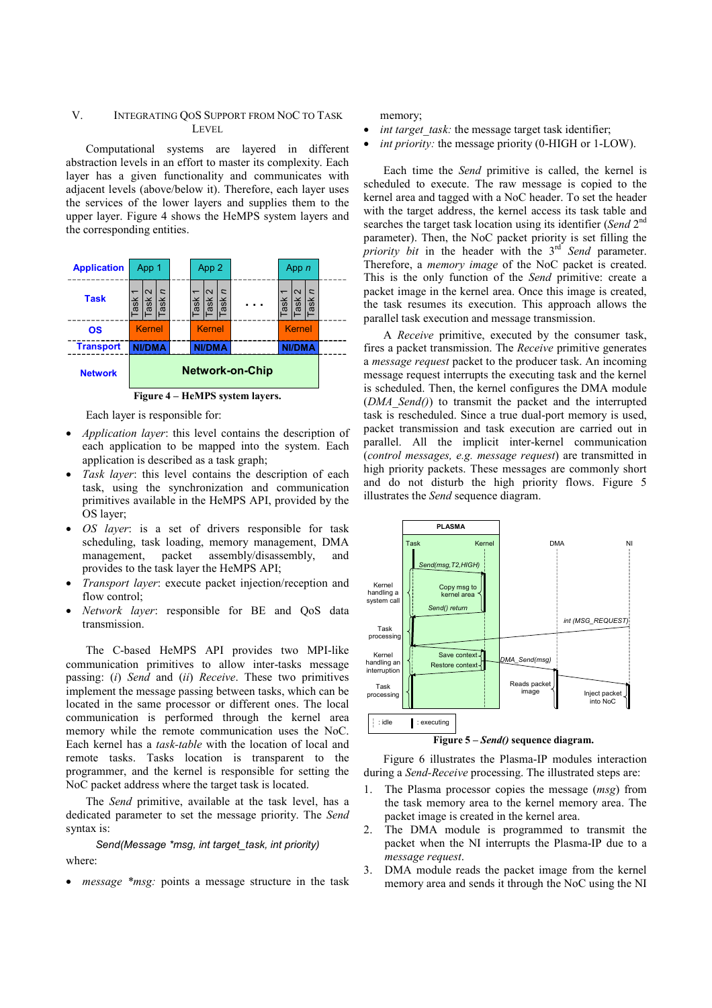# V. INTEGRATING QOS SUPPORT FROM NOC TO TASK LEVEL

Computational systems are layered in different abstraction levels in an effort to master its complexity. Each layer has a given functionality and communicates with adjacent levels (above/below it). Therefore, each layer uses the services of the lower layers and supplies them to the upper layer. Figure 4 shows the HeMPS system layers and the corresponding entities.



Figure 4 – HeMPS system layers.

Each layer is responsible for:

- Application layer: this level contains the description of each application to be mapped into the system. Each application is described as a task graph;
- Task layer: this level contains the description of each task, using the synchronization and communication primitives available in the HeMPS API, provided by the OS layer;
- OS layer: is a set of drivers responsible for task scheduling, task loading, memory management, DMA management, packet assembly/disassembly, and provides to the task layer the HeMPS API;
- Transport layer: execute packet injection/reception and flow control;
- Network layer: responsible for BE and QoS data transmission.

The C-based HeMPS API provides two MPI-like communication primitives to allow inter-tasks message passing: (i) Send and (ii) Receive. These two primitives implement the message passing between tasks, which can be located in the same processor or different ones. The local communication is performed through the kernel area memory while the remote communication uses the NoC. Each kernel has a task-table with the location of local and remote tasks. Tasks location is transparent to the programmer, and the kernel is responsible for setting the NoC packet address where the target task is located.

The Send primitive, available at the task level, has a dedicated parameter to set the message priority. The Send syntax is:

# Send(Message \*msg, int target\_task, int priority)

where:

• *message* \**msg*: points a message structure in the task

memory;

- *int target task:* the message target task identifier;
- *int priority:* the message priority (0-HIGH or 1-LOW).

Each time the Send primitive is called, the kernel is scheduled to execute. The raw message is copied to the kernel area and tagged with a NoC header. To set the header with the target address, the kernel access its task table and searches the target task location using its identifier (Send 2<sup>nd</sup> parameter). Then, the NoC packet priority is set filling the priority bit in the header with the  $3<sup>rd</sup>$  Send parameter. Therefore, a memory image of the NoC packet is created. This is the only function of the *Send* primitive: create a packet image in the kernel area. Once this image is created, the task resumes its execution. This approach allows the parallel task execution and message transmission.

A Receive primitive, executed by the consumer task, fires a packet transmission. The Receive primitive generates a message request packet to the producer task. An incoming message request interrupts the executing task and the kernel is scheduled. Then, the kernel configures the DMA module  $(DMA\;Send())$  to transmit the packet and the interrupted task is rescheduled. Since a true dual-port memory is used, packet transmission and task execution are carried out in parallel. All the implicit inter-kernel communication (control messages, e.g. message request) are transmitted in high priority packets. These messages are commonly short and do not disturb the high priority flows. Figure 5 illustrates the Send sequence diagram.



Figure 6 illustrates the Plasma-IP modules interaction during a *Send-Receive* processing. The illustrated steps are:

- 1. The Plasma processor copies the message (msg) from the task memory area to the kernel memory area. The packet image is created in the kernel area.
- 2. The DMA module is programmed to transmit the packet when the NI interrupts the Plasma-IP due to a message request.
- 3. DMA module reads the packet image from the kernel memory area and sends it through the NoC using the NI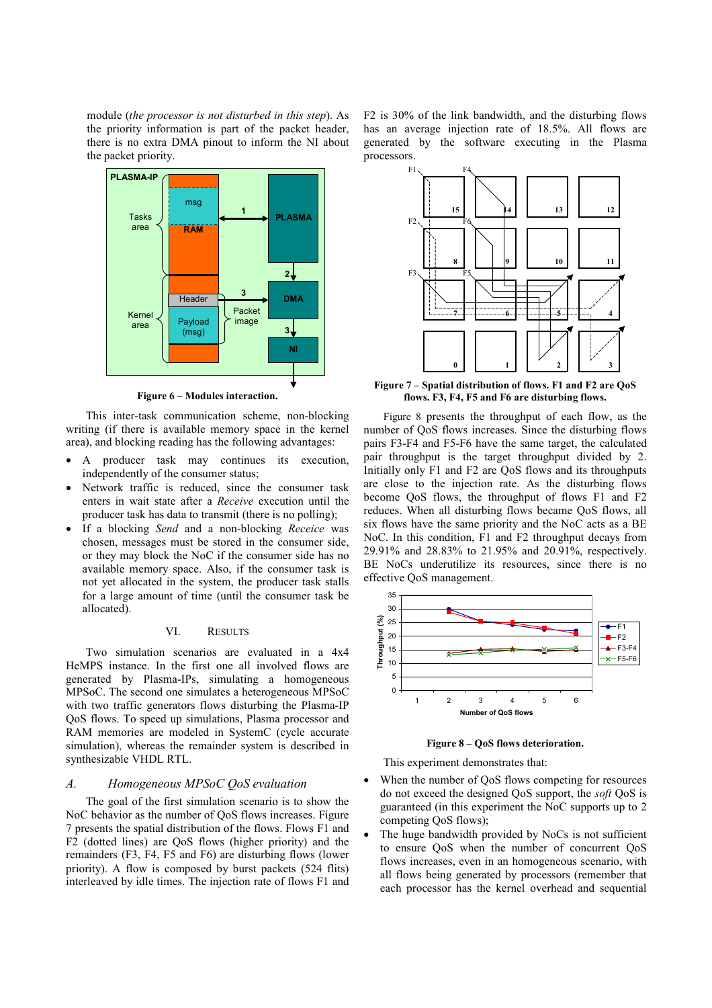module (the processor is not disturbed in this step). As the priority information is part of the packet header, there is no extra DMA pinout to inform the NI about the packet priority.



Figure 6 – Modules interaction.

This inter-task communication scheme, non-blocking writing (if there is available memory space in the kernel area), and blocking reading has the following advantages:

- A producer task may continues its execution, independently of the consumer status;
- Network traffic is reduced, since the consumer task enters in wait state after a Receive execution until the producer task has data to transmit (there is no polling);
- If a blocking Send and a non-blocking Receice was chosen, messages must be stored in the consumer side, or they may block the NoC if the consumer side has no available memory space. Also, if the consumer task is not yet allocated in the system, the producer task stalls for a large amount of time (until the consumer task be allocated).

### VI. RESULTS

Two simulation scenarios are evaluated in a 4x4 HeMPS instance. In the first one all involved flows are generated by Plasma-IPs, simulating a homogeneous MPSoC. The second one simulates a heterogeneous MPSoC with two traffic generators flows disturbing the Plasma-IP QoS flows. To speed up simulations, Plasma processor and RAM memories are modeled in SystemC (cycle accurate simulation), whereas the remainder system is described in synthesizable VHDL RTL.

# A. Homogeneous MPSoC QoS evaluation

The goal of the first simulation scenario is to show the NoC behavior as the number of QoS flows increases. Figure 7 presents the spatial distribution of the flows. Flows F1 and F2 (dotted lines) are QoS flows (higher priority) and the remainders (F3, F4, F5 and F6) are disturbing flows (lower priority). A flow is composed by burst packets (524 flits) interleaved by idle times. The injection rate of flows F1 and F2 is 30% of the link bandwidth, and the disturbing flows has an average injection rate of 18.5%. All flows are generated by the software executing in the Plasma processors.



Figure 7 – Spatial distribution of flows. F1 and F2 are QoS flows. F3, F4, F5 and F6 are disturbing flows.

Figure 8 presents the throughput of each flow, as the number of QoS flows increases. Since the disturbing flows pairs F3-F4 and F5-F6 have the same target, the calculated pair throughput is the target throughput divided by 2. Initially only F1 and F2 are QoS flows and its throughputs are close to the injection rate. As the disturbing flows become QoS flows, the throughput of flows F1 and F2 reduces. When all disturbing flows became QoS flows, all six flows have the same priority and the NoC acts as a BE NoC. In this condition, F1 and F2 throughput decays from 29.91% and 28.83% to 21.95% and 20.91%, respectively. BE NoCs underutilize its resources, since there is no effective QoS management.



Figure 8 – QoS flows deterioration.

This experiment demonstrates that:

- When the number of QoS flows competing for resources do not exceed the designed QoS support, the soft QoS is guaranteed (in this experiment the NoC supports up to 2 competing QoS flows);
- The huge bandwidth provided by NoCs is not sufficient to ensure QoS when the number of concurrent QoS flows increases, even in an homogeneous scenario, with all flows being generated by processors (remember that each processor has the kernel overhead and sequential